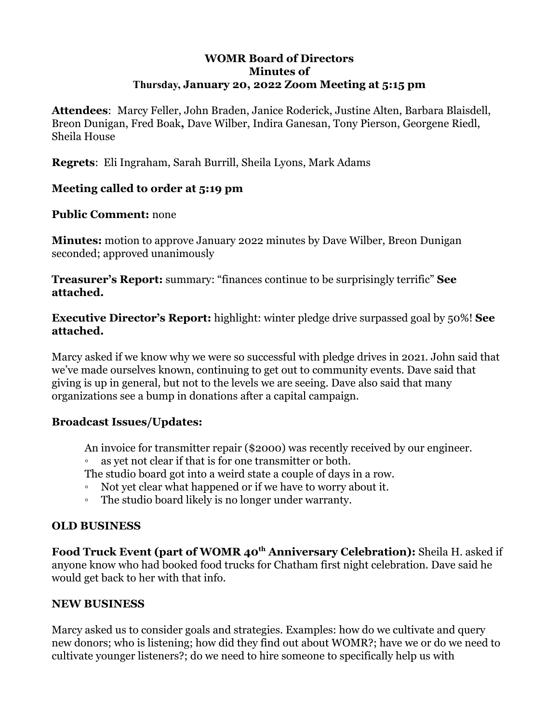## **WOMR Board of Directors Minutes of Thursday, January 20, 2022 Zoom Meeting at 5:15 pm**

**Attendees**: Marcy Feller, John Braden, Janice Roderick, Justine Alten, Barbara Blaisdell, Breon Dunigan, Fred Boak**,** Dave Wilber, Indira Ganesan, Tony Pierson, Georgene Riedl, Sheila House

**Regrets**: Eli Ingraham, Sarah Burrill, Sheila Lyons, Mark Adams

## **Meeting called to order at 5:19 pm**

#### **Public Comment:** none

**Minutes:** motion to approve January 2022 minutes by Dave Wilber, Breon Dunigan seconded; approved unanimously

**Treasurer's Report:** summary: "finances continue to be surprisingly terrific" **See attached.**

**Executive Director's Report:** highlight: winter pledge drive surpassed goal by 50%! **See attached.**

Marcy asked if we know why we were so successful with pledge drives in 2021. John said that we've made ourselves known, continuing to get out to community events. Dave said that giving is up in general, but not to the levels we are seeing. Dave also said that many organizations see a bump in donations after a capital campaign.

## **Broadcast Issues/Updates:**

An invoice for transmitter repair (\$2000) was recently received by our engineer.

as yet not clear if that is for one transmitter or both.

The studio board got into a weird state a couple of days in a row.

- Not yet clear what happened or if we have to worry about it.
- The studio board likely is no longer under warranty.

## **OLD BUSINESS**

**Food Truck Event (part of WOMR 40th Anniversary Celebration):** Sheila H. asked if anyone know who had booked food trucks for Chatham first night celebration. Dave said he would get back to her with that info.

## **NEW BUSINESS**

Marcy asked us to consider goals and strategies. Examples: how do we cultivate and query new donors; who is listening; how did they find out about WOMR?; have we or do we need to cultivate younger listeners?; do we need to hire someone to specifically help us with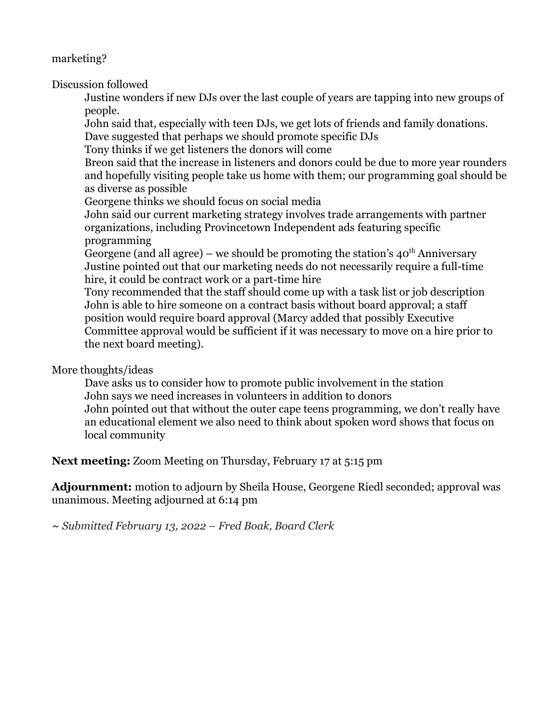marketing?

Discussion followed

Justine wonders if new DJs over the last couple of years are tapping into new groups of people.

John said that, especially with teen DJs, we get lots of friends and family donations. Dave suggested that perhaps we should promote specific DJs

Tony thinks if we get listeners the donors will come

Breon said that the increase in listeners and donors could be due to more year rounders and hopefully visiting people take us home with them; our programming goal should be as diverse as possible

Georgene thinks we should focus on social media

John said our current marketing strategy involves trade arrangements with partner organizations, including Provincetown Independent ads featuring specific programming

Georgene (and all agree) – we should be promoting the station's  $40<sup>th</sup>$  Anniversary Justine pointed out that our marketing needs do not necessarily require a full-time hire, it could be contract work or a part-time hire

Tony recommended that the staff should come up with a task list or job description John is able to hire someone on a contract basis without board approval; a staff position would require board approval (Marcy added that possibly Executive Committee approval would be sufficient if it was necessary to move on a hire prior to the next board meeting).

#### More thoughts/ideas

Dave asks us to consider how to promote public involvement in the station John says we need increases in volunteers in addition to donors John pointed out that without the outer cape teens programming, we don't really have an educational element we also need to think about spoken word shows that focus on local community

**Next meeting:** Zoom Meeting on Thursday, February 17 at 5:15 pm

**Adjournment:** motion to adjourn by Sheila House, Georgene Riedl seconded; approval was unanimous. Meeting adjourned at 6:14 pm

*~ Submitted February 13, 2022 – Fred Boak, Board Clerk*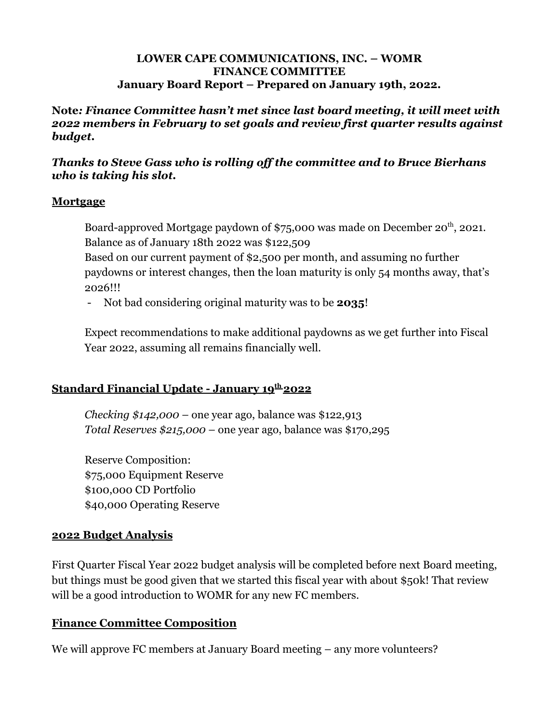#### **LOWER CAPE COMMUNICATIONS, INC. – WOMR FINANCE COMMITTEE January Board Report – Prepared on January 19th, 2022.**

**Note***: Finance Committee hasn't met since last board meeting, it will meet with 2022 members in February to set goals and review first quarter results against budget.*

*Thanks to Steve Gass who is rolling off the committee and to Bruce Bierhans who is taking his slot.*

## **Mortgage**

Board-approved Mortgage paydown of \$75,000 was made on December 20<sup>th</sup>, 2021. Balance as of January 18th 2022 was \$122,509

Based on our current payment of \$2,500 per month, and assuming no further paydowns or interest changes, then the loan maturity is only 54 months away, that's 2026!!!

- Not bad considering original maturity was to be **2035**!

Expect recommendations to make additional paydowns as we get further into Fiscal Year 2022, assuming all remains financially well.

# **Standard Financial Update - January 19th 2022**

*Checking \$142,000* – one year ago, balance was \$122,913 *Total Reserves \$215,000* – one year ago, balance was \$170,295

Reserve Composition: \$75,000 Equipment Reserve \$100,000 CD Portfolio \$40,000 Operating Reserve

## **2022 Budget Analysis**

First Quarter Fiscal Year 2022 budget analysis will be completed before next Board meeting, but things must be good given that we started this fiscal year with about \$50k! That review will be a good introduction to WOMR for any new FC members.

## **Finance Committee Composition**

We will approve FC members at January Board meeting – any more volunteers?